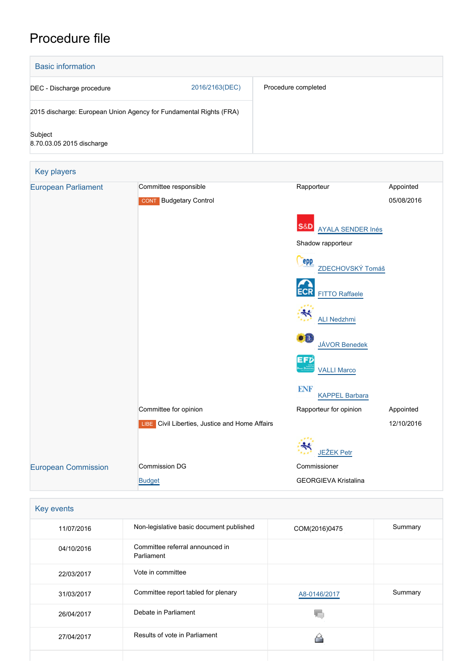# Procedure file



| Key events |                                               |               |         |  |  |  |  |
|------------|-----------------------------------------------|---------------|---------|--|--|--|--|
| 11/07/2016 | Non-legislative basic document published      | COM(2016)0475 | Summary |  |  |  |  |
| 04/10/2016 | Committee referral announced in<br>Parliament |               |         |  |  |  |  |
| 22/03/2017 | Vote in committee                             |               |         |  |  |  |  |
| 31/03/2017 | Committee report tabled for plenary           | A8-0146/2017  | Summary |  |  |  |  |
| 26/04/2017 | Debate in Parliament                          |               |         |  |  |  |  |
| 27/04/2017 | Results of vote in Parliament                 |               |         |  |  |  |  |
|            |                                               |               |         |  |  |  |  |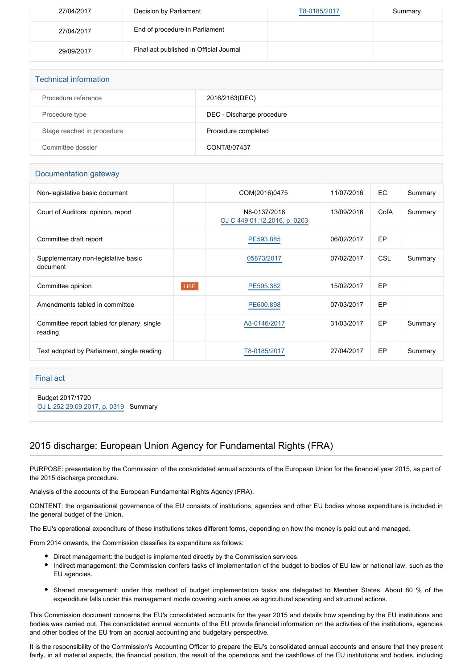| 27/04/2017 | Decision by Parliament                  | T8-0185/2017 | Summary |
|------------|-----------------------------------------|--------------|---------|
| 27/04/2017 | End of procedure in Parliament          |              |         |
| 29/09/2017 | Final act published in Official Journal |              |         |

| <b>Technical information</b> |                           |
|------------------------------|---------------------------|
| Procedure reference          | 2016/2163(DEC)            |
| Procedure type               | DEC - Discharge procedure |
| Stage reached in procedure   | Procedure completed       |
| Committee dossier            | CONT/8/07437              |

#### Documentation gateway

| Non-legislative basic document                         |      | COM(2016)0475                                | 11/07/2016 | EC.        | Summary |
|--------------------------------------------------------|------|----------------------------------------------|------------|------------|---------|
| Court of Auditors: opinion, report                     |      | N8-0137/2016<br>OJ C 449 01.12.2016, p. 0203 | 13/09/2016 | CofA       | Summary |
| Committee draft report                                 |      | PE593.885                                    | 06/02/2017 | EP         |         |
| Supplementary non-legislative basic<br>document        |      | 05873/2017                                   | 07/02/2017 | <b>CSL</b> | Summary |
| Committee opinion                                      | LIBE | PE595.382                                    | 15/02/2017 | EP         |         |
| Amendments tabled in committee                         |      | PE600.898                                    | 07/03/2017 | EP         |         |
| Committee report tabled for plenary, single<br>reading |      | A8-0146/2017                                 | 31/03/2017 | EP         | Summary |
| Text adopted by Parliament, single reading             |      | T8-0185/2017                                 | 27/04/2017 | EP         | Summary |

#### Final act

Budget 2017/1720 [OJ L 252 29.09.2017, p. 0319](https://eur-lex.europa.eu/legal-content/EN/TXT/?uri=OJ:L:2017:252:TOC) Summary

## 2015 discharge: European Union Agency for Fundamental Rights (FRA)

PURPOSE: presentation by the Commission of the consolidated annual accounts of the European Union for the financial year 2015, as part of the 2015 discharge procedure.

Analysis of the accounts of the European Fundamental Rights Agency (FRA).

CONTENT: the organisational governance of the EU consists of institutions, agencies and other EU bodies whose expenditure is included in the general budget of the Union.

The EU's operational expenditure of these institutions takes different forms, depending on how the money is paid out and managed.

From 2014 onwards, the Commission classifies its expenditure as follows:

- Direct management: the budget is implemented directly by the Commission services.
- Indirect management: the Commission confers tasks of implementation of the budget to bodies of EU law or national law, such as the  $\bullet$ EU agencies.
- Shared management: under this method of budget implementation tasks are delegated to Member States. About 80 % of the expenditure falls under this management mode covering such areas as agricultural spending and structural actions.

This Commission document concerns the EU's consolidated accounts for the year 2015 and details how spending by the EU institutions and bodies was carried out. The consolidated annual accounts of the EU provide financial information on the activities of the institutions, agencies and other bodies of the EU from an accrual accounting and budgetary perspective.

It is the responsibility of the Commission's Accounting Officer to prepare the EU's consolidated annual accounts and ensure that they present fairly, in all material aspects, the financial position, the result of the operations and the cashflows of the EU institutions and bodies, including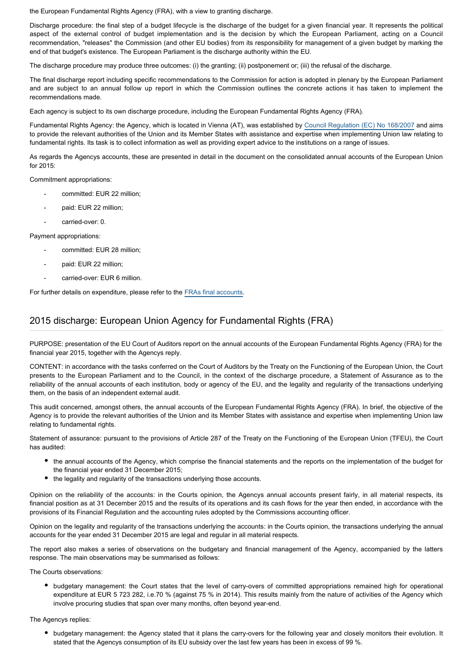the European Fundamental Rights Agency (FRA), with a view to granting discharge.

Discharge procedure: the final step of a budget lifecycle is the discharge of the budget for a given financial year. It represents the political aspect of the external control of budget implementation and is the decision by which the European Parliament, acting on a Council recommendation, "releases" the Commission (and other EU bodies) from its responsibility for management of a given budget by marking the end of that budget's existence. The European Parliament is the discharge authority within the EU.

The discharge procedure may produce three outcomes: (i) the granting; (ii) postponement or; (iii) the refusal of the discharge.

The final discharge report including specific recommendations to the Commission for action is adopted in plenary by the European Parliament and are subject to an annual follow up report in which the Commission outlines the concrete actions it has taken to implement the recommendations made.

Each agency is subject to its own discharge procedure, including the European Fundamental Rights Agency (FRA).

Fundamental Rights Agency: the Agency, which is located in Vienna (AT), was established by [Council Regulation \(EC\) No 168/2007](http://eur-lex.europa.eu/LexUriServ/LexUriServ.do?uri=OJ:L:2007:053:0001:0014:EN:PDF) and aims to provide the relevant authorities of the Union and its Member States with assistance and expertise when implementing Union law relating to fundamental rights. Its task is to collect information as well as providing expert advice to the institutions on a range of issues.

As regards the Agencys accounts, these are presented in detail in the document on the consolidated annual accounts of the European Union for 2015:

Commitment appropriations:

- committed: EUR 22 million;
- paid: EUR 22 million:
- carried-over: 0.

Payment appropriations:

- committed: EUR 28 million:
- paid: EUR 22 million;
- carried-over: EUR 6 million.

For further details on expenditure, please refer to the [FRAs final accounts.](https://polcms.secure.europarl.europa.eu/cmsdata/upload/dcdbebe2-cf56-41f2-ad82-e5b25ec47147/FRA_final%20accounts.pdf)

#### 2015 discharge: European Union Agency for Fundamental Rights (FRA)

PURPOSE: presentation of the EU Court of Auditors report on the annual accounts of the European Fundamental Rights Agency (FRA) for the financial year 2015, together with the Agencys reply.

CONTENT: in accordance with the tasks conferred on the Court of Auditors by the Treaty on the Functioning of the European Union, the Court presents to the European Parliament and to the Council, in the context of the discharge procedure, a Statement of Assurance as to the reliability of the annual accounts of each institution, body or agency of the EU, and the legality and regularity of the transactions underlying them, on the basis of an independent external audit.

This audit concerned, amongst others, the annual accounts of the European Fundamental Rights Agency (FRA). In brief, the objective of the Agency is to provide the relevant authorities of the Union and its Member States with assistance and expertise when implementing Union law relating to fundamental rights.

Statement of assurance: pursuant to the provisions of Article 287 of the Treaty on the Functioning of the European Union (TFEU), the Court has audited:

- the annual accounts of the Agency, which comprise the financial statements and the reports on the implementation of the budget for the financial year ended 31 December 2015;
- the legality and regularity of the transactions underlying those accounts.

Opinion on the reliability of the accounts: in the Courts opinion, the Agencys annual accounts present fairly, in all material respects, its financial position as at 31 December 2015 and the results of its operations and its cash flows for the year then ended, in accordance with the provisions of its Financial Regulation and the accounting rules adopted by the Commissions accounting officer.

Opinion on the legality and regularity of the transactions underlying the accounts: in the Courts opinion, the transactions underlying the annual accounts for the year ended 31 December 2015 are legal and regular in all material respects.

The report also makes a series of observations on the budgetary and financial management of the Agency, accompanied by the latters response. The main observations may be summarised as follows:

The Courts observations:

budgetary management: the Court states that the level of carry-overs of committed appropriations remained high for operational expenditure at EUR 5 723 282, i.e.70 % (against 75 % in 2014). This results mainly from the nature of activities of the Agency which involve procuring studies that span over many months, often beyond year-end.

The Agencys replies:

budgetary management: the Agency stated that it plans the carry-overs for the following year and closely monitors their evolution. It stated that the Agencys consumption of its EU subsidy over the last few years has been in excess of 99 %.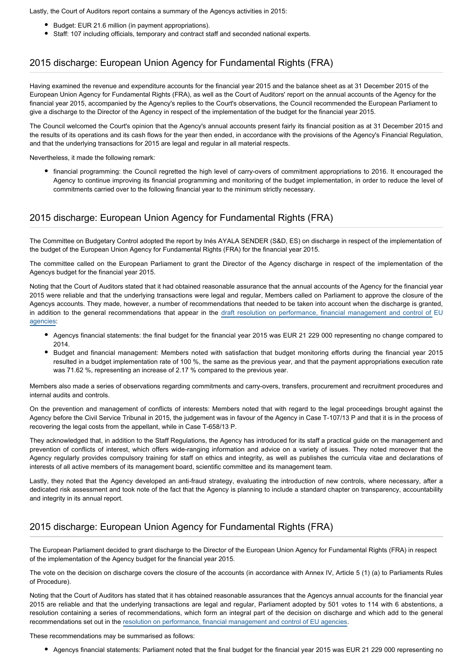Lastly, the Court of Auditors report contains a summary of the Agencys activities in 2015:

- Budget: EUR 21.6 million (in payment appropriations).
- Staff: 107 including officials, temporary and contract staff and seconded national experts.

#### 2015 discharge: European Union Agency for Fundamental Rights (FRA)

Having examined the revenue and expenditure accounts for the financial year 2015 and the balance sheet as at 31 December 2015 of the European Union Agency for Fundamental Rights (FRA), as well as the Court of Auditors' report on the annual accounts of the Agency for the financial year 2015, accompanied by the Agency's replies to the Court's observations, the Council recommended the European Parliament to give a discharge to the Director of the Agency in respect of the implementation of the budget for the financial year 2015.

The Council welcomed the Court's opinion that the Agency's annual accounts present fairly its financial position as at 31 December 2015 and the results of its operations and its cash flows for the year then ended, in accordance with the provisions of the Agency's Financial Regulation, and that the underlying transactions for 2015 are legal and regular in all material respects.

Nevertheless, it made the following remark:

financial programming: the Council regretted the high level of carry-overs of commitment appropriations to 2016. It encouraged the Agency to continue improving its financial programming and monitoring of the budget implementation, in order to reduce the level of commitments carried over to the following financial year to the minimum strictly necessary.

#### 2015 discharge: European Union Agency for Fundamental Rights (FRA)

The Committee on Budgetary Control adopted the report by Inés AYALA SENDER (S&D, ES) on discharge in respect of the implementation of the budget of the European Union Agency for Fundamental Rights (FRA) for the financial year 2015.

The committee called on the European Parliament to grant the Director of the Agency discharge in respect of the implementation of the Agencys budget for the financial year 2015.

Noting that the Court of Auditors stated that it had obtained reasonable assurance that the annual accounts of the Agency for the financial year 2015 were reliable and that the underlying transactions were legal and regular, Members called on Parliament to approve the closure of the Agencys accounts. They made, however, a number of recommendations that needed to be taken into account when the discharge is granted, in addition to the general recommendations that appear in the [draft resolution on performance, financial management and control of](http://www.europarl.europa.eu/oeil/popups/ficheprocedure.do?reference=2016/2206(DEC)) EU [agencies](http://www.europarl.europa.eu/oeil/popups/ficheprocedure.do?reference=2016/2206(DEC)):

- Agencys financial statements: the final budget for the financial year 2015 was EUR 21 229 000 representing no change compared to 2014.
- Budget and financial management: Members noted with satisfaction that budget monitoring efforts during the financial year 2015 resulted in a budget implementation rate of 100 %, the same as the previous year, and that the payment appropriations execution rate was 71.62 %, representing an increase of 2.17 % compared to the previous year.

Members also made a series of observations regarding commitments and carry-overs, transfers, procurement and recruitment procedures and internal audits and controls.

On the prevention and management of conflicts of interests: Members noted that with regard to the legal proceedings brought against the Agency before the Civil Service Tribunal in 2015, the judgement was in favour of the Agency in Case T-107/13 P and that it is in the process of recovering the legal costs from the appellant, while in Case T-658/13 P.

They acknowledged that, in addition to the Staff Regulations, the Agency has introduced for its staff a practical guide on the management and prevention of conflicts of interest, which offers wide-ranging information and advice on a variety of issues. They noted moreover that the Agency regularly provides compulsory training for staff on ethics and integrity, as well as publishes the curricula vitae and declarations of interests of all active members of its management board, scientific committee and its management team.

Lastly, they noted that the Agency developed an anti-fraud strategy, evaluating the introduction of new controls, where necessary, after a dedicated risk assessment and took note of the fact that the Agency is planning to include a standard chapter on transparency, accountability and integrity in its annual report.

#### 2015 discharge: European Union Agency for Fundamental Rights (FRA)

The European Parliament decided to grant discharge to the Director of the European Union Agency for Fundamental Rights (FRA) in respect of the implementation of the Agency budget for the financial year 2015.

The vote on the decision on discharge covers the closure of the accounts (in accordance with Annex IV, Article 5 (1) (a) to Parliaments Rules of Procedure).

Noting that the Court of Auditors has stated that it has obtained reasonable assurances that the Agencys annual accounts for the financial year 2015 are reliable and that the underlying transactions are legal and regular, Parliament adopted by 501 votes to 114 with 6 abstentions, a resolution containing a series of recommendations, which form an integral part of the decision on discharge and which add to the general recommendations set out in the [resolution on performance, financial management and control of EU agencies](http://www.europarl.europa.eu/oeil/popups/ficheprocedure.do?reference=2016/2206(DEC)).

These recommendations may be summarised as follows:

Agencys financial statements: Parliament noted that the final budget for the financial year 2015 was EUR 21 229 000 representing no